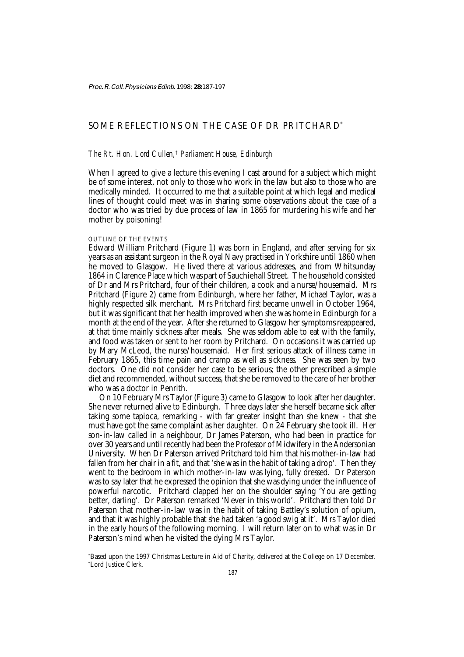# SOME REFLECTIONS ON THE CASE OF DR PRITCHARD<sup>\*</sup>

# *The Rt. Hon. Lord Cullen,*†  *Parliament House, Edinburgh*

When I agreed to give a lecture this evening I cast around for a subject which might be of some interest, not only to those who work in the law but also to those who are medically minded. It occurred to me that a suitable point at which legal and medical lines of thought could meet was in sharing some observations about the case of a doctor who was tried by due process of law in 1865 for murdering his wife and her mother by poisoning!

# OUTLINE OF THE EVENTS

Edward William Pritchard (Figure 1) was born in England, and after serving for six years as an assistant surgeon in the Royal Navy practised in Yorkshire until 1860 when he moved to Glasgow. He lived there at various addresses, and from Whitsunday 1864 in Clarence Place which was part of Sauchiehall Street. The household consisted of Dr and Mrs Pritchard, four of their children, a cook and a nurse/housemaid. Mrs Pritchard (Figure 2) came from Edinburgh, where her father, Michael Taylor, was a highly respected silk merchant. Mrs Pritchard first became unwell in October 1964, but it was significant that her health improved when she was home in Edinburgh for a month at the end of the year. After she returned to Glasgow her symptoms reappeared, at that time mainly sickness after meals. She was seldom able to eat with the family, and food was taken or sent to her room by Pritchard. On occasions it was carried up by Mary McLeod, the nurse/housemaid. Her first serious attack of illness came in February 1865, this time pain and cramp as well as sickness. She was seen by two doctors. One did not consider her case to be serious; the other prescribed a simple diet and recommended, without success, that she be removed to the care of her brother who was a doctor in Penrith.

On 10 February Mrs Taylor (Figure 3) came to Glasgow to look after her daughter. She never returned alive to Edinburgh. Three days later she herself became sick after taking some tapioca, remarking - with far greater insight than she knew - that she must have got the same complaint as her daughter. On 24 February she took ill. Her son-in-law called in a neighbour, Dr James Paterson, who had been in practice for over 30 years and until recently had been the Professor of Midwifery in the Andersonian University. When Dr Paterson arrived Pritchard told him that his mother-in-law had fallen from her chair in a fit, and that 'she was in the habit of taking a drop'. Then they went to the bedroom in which mother-in-law was lying, fully dressed. Dr Paterson was to say later that he expressed the opinion that she was dying under the influence of powerful narcotic. Pritchard clapped her on the shoulder saying 'You are getting better, darling'. Dr Paterson remarked 'Never in this world'. Pritchard then told Dr Paterson that mother-in-law was in the habit of taking Battley's solution of opium, and that it was highly probable that she had taken 'a good swig at it'. Mrs Taylor died in the early hours of the following morning. I will return later on to what was in Dr Paterson's mind when he visited the dying Mrs Taylor.

\* Based upon the 1997 Christmas Lecture in Aid of Charity, delivered at the College on 17 December. † Lord Justice Clerk.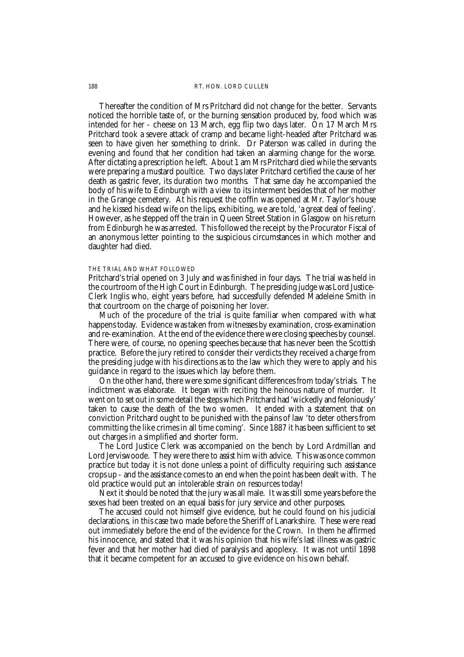#### 188 RT. HON. LORD CULLEN

Thereafter the condition of Mrs Pritchard did not change for the better. Servants noticed the horrible taste of, or the burning sensation produced by, food which was intended for her - cheese on 13 March, egg flip two days later. On 17 March Mrs Pritchard took a severe attack of cramp and became light-headed after Pritchard was seen to have given her something to drink. Dr Paterson was called in during the evening and found that her condition had taken an alarming change for the worse. After dictating a prescription he left. About 1 am Mrs Pritchard died while the servants were preparing a mustard poultice. Two days later Pritchard certified the cause of her death as gastric fever, its duration two months. That same day he accompanied the body of his wife to Edinburgh with a view to its interment besides that of her mother in the Grange cemetery. At his request the coffin was opened at Mr. Taylor's house and he kissed his dead wife on the lips, exhibiting, we are told, 'a great deal of feeling'. However, as he stepped off the train in Queen Street Station in Glasgow on his return from Edinburgh he was arrested. This followed the receipt by the Procurator Fiscal of an anonymous letter pointing to the suspicious circumstances in which mother and daughter had died.

#### THE TRIAL AND WHAT FOLLOWED

Pritchard's trial opened on 3 July and was finished in four days. The trial was held in the courtroom of the High Court in Edinburgh. The presiding judge was Lord Justice-Clerk Inglis who, eight years before, had successfully defended Madeleine Smith in that courtroom on the charge of poisoning her lover.

Much of the procedure of the trial is quite familiar when compared with what happens today. Evidence was taken from witnesses by examination, cross-examination and re-examination. At the end of the evidence there were closing speeches by counsel. There were, of course, no opening speeches because that has never been the Scottish practice. Before the jury retired to consider their verdicts they received a charge from the presiding judge with his directions as to the law which they were to apply and his guidance in regard to the issues which lay before them.

On the other hand, there were some significant differences from today's trials. The indictment was elaborate. It began with reciting the heinous nature of murder. It went on to set out in some detail the steps which Pritchard had 'wickedly and feloniously' taken to cause the death of the two women. It ended with a statement that on conviction Pritchard ought to be punished with the pains of law 'to deter others from committing the like crimes in all time coming'. Since 1887 it has been sufficient to set out charges in a simplified and shorter form.

The Lord Justice Clerk was accompanied on the bench by Lord Ardmillan and Lord Jerviswoode. They were there to assist him with advice. This was once common practice but today it is not done unless a point of difficulty requiring such assistance crops up - and the assistance comes to an end when the point has been dealt with. The old practice would put an intolerable strain on resources today!

Next it should be noted that the jury was all male. It was still some years before the sexes had been treated on an equal basis for jury service and other purposes.

The accused could not himself give evidence, but he could found on his judicial declarations, in this case two made before the Sheriff of Lanarkshire. These were read out immediately before the end of the evidence for the Crown. In them he affirmed his innocence, and stated that it was his opinion that his wife's last illness was gastric fever and that her mother had died of paralysis and apoplexy. It was not until 1898 that it became competent for an accused to give evidence on his own behalf.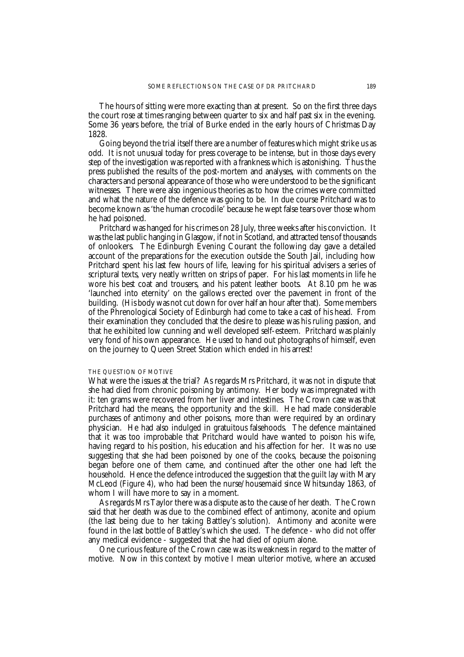The hours of sitting were more exacting than at present. So on the first three days the court rose at times ranging between quarter to six and half past six in the evening. Some 36 years before, the trial of Burke ended in the early hours of Christmas Day 1828.

Going beyond the trial itself there are a number of features which might strike us as odd. It is not unusual today for press coverage to be intense, but in those days every step of the investigation was reported with a frankness which is astonishing. Thus the press published the results of the post-mortem and analyses, with comments on the characters and personal appearance of those who were understood to be the significant witnesses. There were also ingenious theories as to how the crimes were committed and what the nature of the defence was going to be. In due course Pritchard was to become known as 'the human crocodile' because he wept false tears over those whom he had poisoned.

Pritchard was hanged for his crimes on 28 July, three weeks after his conviction. It was the last public hanging in Glasgow, if not in Scotland, and attracted tens of thousands of onlookers. The Edinburgh Evening Courant the following day gave a detailed account of the preparations for the execution outside the South Jail, including how Pritchard spent his last few hours of life, leaving for his spiritual advisers a series of scriptural texts, very neatly written on strips of paper. For his last moments in life he wore his best coat and trousers, and his patent leather boots. At 8.10 pm he was 'launched into eternity' on the gallows erected over the pavement in front of the building. (His body was not cut down for over half an hour after that). Some members of the Phrenological Society of Edinburgh had come to take a cast of his head. From their examination they concluded that the desire to please was his ruling passion, and that he exhibited low cunning and well developed self-esteem. Pritchard was plainly very fond of his own appearance. He used to hand out photographs of himself, even on the journey to Queen Street Station which ended in his arrest!

#### THE QUESTION OF MOTIVE

What were the issues at the trial? As regards Mrs Pritchard, it was not in dispute that she had died from chronic poisoning by antimony. Her body was impregnated with it: ten grams were recovered from her liver and intestines. The Crown case was that Pritchard had the means, the opportunity and the skill. He had made considerable purchases of antimony and other poisons, more than were required by an ordinary physician. He had also indulged in gratuitous falsehoods. The defence maintained that it was too improbable that Pritchard would have wanted to poison his wife, having regard to his position, his education and his affection for her. It was no use suggesting that she had been poisoned by one of the cooks, because the poisoning began before one of them came, and continued after the other one had left the household. Hence the defence introduced the suggestion that the guilt lay with Mary McLeod (Figure 4), who had been the nurse/housemaid since Whitsunday 1863, of whom I will have more to say in a moment.

As regards Mrs Taylor there was a dispute as to the cause of her death. The Crown said that her death was due to the combined effect of antimony, aconite and opium (the last being due to her taking Battley's solution). Antimony and aconite were found in the last bottle of Battley's which she used. The defence - who did not offer any medical evidence - suggested that she had died of opium alone.

One curious feature of the Crown case was its weakness in regard to the matter of motive. Now in this context by motive I mean ulterior motive, where an accused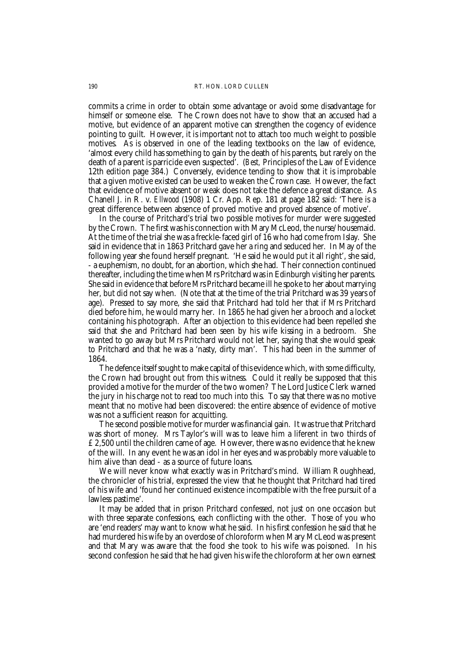#### 190 RT. HON. LORD CULLEN

commits a crime in order to obtain some advantage or avoid some disadvantage for himself or someone else. The Crown does not have to show that an accused had a motive, but evidence of an apparent motive can strengthen the cogency of evidence pointing to guilt. However, it is important not to attach too much weight to possible motives. As is observed in one of the leading textbooks on the law of evidence, 'almost every child has something to gain by the death of his parents, but rarely on the death of a parent is parricide even suspected'. (*Best,* Principles of the Law of Evidence 12th edition page 384.) Conversely, evidence tending to show that it is improbable that a given motive existed can be used to weaken the Crown case. However, the fact that evidence of motive absent or weak does not take the defence a great distance. As Chanell J. in R. v. *Ellwood* (1908) 1 Cr. App. Rep. 181 at page 182 said: 'There is a great difference between absence of proved motive and proved absence of motive'.

In the course of Pritchard's trial two possible motives for murder were suggested by the Crown. The first was his connection with Mary McLeod, the nurse/housemaid. At the time of the trial she was a freckle-faced girl of 16 who had come from Islay. She said in evidence that in 1863 Pritchard gave her a ring and seduced her. In May of the following year she found herself pregnant. 'He said he would put it all right', she said, - a euphemism, no doubt, for an abortion, which she had. Their connection continued thereafter, including the time when Mrs Pritchard was in Edinburgh visiting her parents. She said in evidence that before Mrs Pritchard became ill he spoke to her about marrying her, but did not say when. (Note that at the time of the trial Pritchard was 39 years of age). Pressed to say more, she said that Pritchard had told her that if Mrs Pritchard died before him, he would marry her. In 1865 he had given her a brooch and a locket containing his photograph. After an objection to this evidence had been repelled she said that she and Pritchard had been seen by his wife kissing in a bedroom. She wanted to go away but Mrs Pritchard would not let her, saying that she would speak to Pritchard and that he was a 'nasty, dirty man'. This had been in the summer of 1864.

The defence itself sought to make capital of this evidence which, with some difficulty, the Crown had brought out from this witness. Could it really be supposed that this provided a motive for the murder of the two women? The Lord Justice Clerk warned the jury in his charge not to read too much into this. To say that there was no motive meant that no motive had been discovered: the entire absence of evidence of motive was not a sufficient reason for acquitting.

The second possible motive for murder was financial gain. It was true that Pritchard was short of money. Mrs Taylor's will was to leave him a liferent in two thirds of £2,500 until the children came of age. However, there was no evidence that he knew of the will. In any event he was an idol in her eyes and was probably more valuable to him alive than dead - as a source of future loans.

We will never know what exactly was in Pritchard's mind. William Roughhead, the chronicler of his trial, expressed the view that he thought that Pritchard had tired of his wife and 'found her continued existence incompatible with the free pursuit of a lawless pastime'.

It may be added that in prison Pritchard confessed, not just on one occasion but with three separate confessions, each conflicting with the other. Those of you who are 'end readers' may want to know what he said. In his first confession he said that he had murdered his wife by an overdose of chloroform when Mary McLeod was present and that Mary was aware that the food she took to his wife was poisoned. In his second confession he said that he had given his wife the chloroform at her own earnest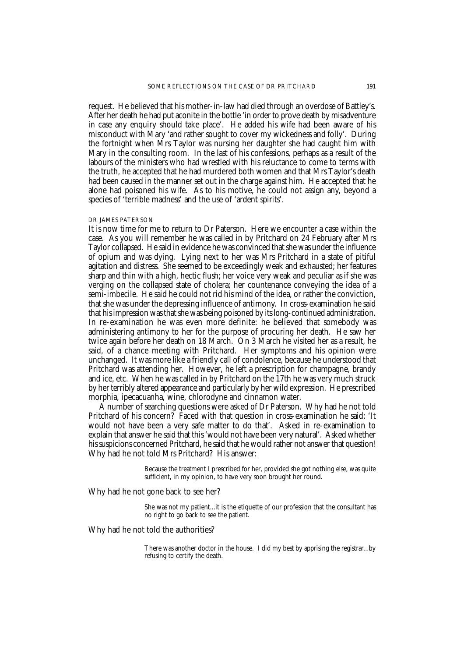request. He believed that his mother-in-law had died through an overdose of Battley's. After her death he had put aconite in the bottle 'in order to prove death by misadventure in case any enquiry should take place'. He added his wife had been aware of his misconduct with Mary 'and rather sought to cover my wickedness and folly'. During the fortnight when Mrs Taylor was nursing her daughter she had caught him with Mary in the consulting room. In the last of his confessions, perhaps as a result of the labours of the ministers who had wrestled with his reluctance to come to terms with the truth, he accepted that he had murdered both women and that Mrs Taylor's death had been caused in the manner set out in the charge against him. He accepted that he alone had poisoned his wife. As to his motive, he could not assign any, beyond a species of 'terrible madness' and the use of 'ardent spirits'.

### DR JAMES PATERSON

It is now time for me to return to Dr Paterson. Here we encounter a case within the case. As you will remember he was called in by Pritchard on 24 February after Mrs Taylor collapsed. He said in evidence he was convinced that she was under the influence of opium and was dying. Lying next to her was Mrs Pritchard in a state of pitiful agitation and distress. She seemed to be exceedingly weak and exhausted; her features sharp and thin with a high, hectic flush; her voice very weak and peculiar as if she was verging on the collapsed state of cholera; her countenance conveying the idea of a semi-imbecile. He said he could not rid his mind of the idea, or rather the conviction, that she was under the depressing influence of antimony. In cross-examination he said that his impression was that she was being poisoned by its long-continued administration. In re-examination he was even more definite: he believed that somebody was administering antimony to her for the purpose of procuring her death. He saw her twice again before her death on 18 March. On 3 March he visited her as a result, he said, of a chance meeting with Pritchard. Her symptoms and his opinion were unchanged. It was more like a friendly call of condolence, because he understood that Pritchard was attending her. However, he left a prescription for champagne, brandy and ice, etc. When he was called in by Pritchard on the 17th he was very much struck by her terribly altered appearance and particularly by her wild expression. He prescribed morphia, ipecacuanha, wine, chlorodyne and cinnamon water.

A number of searching questions were asked of Dr Paterson. Why had he not told Pritchard of his concern? Faced with that question in cross-examination he said: 'It would not have been a very safe matter to do that'. Asked in re-examination to explain that answer he said that this 'would not have been very natural'. Asked whether his suspicions concerned Pritchard, he said that he would rather not answer that question! Why had he not told Mrs Pritchard? His answer:

> Because the treatment I prescribed for her, provided she got nothing else, was quite sufficient, in my opinion, to have very soon brought her round.

Why had he not gone back to see her?

She was not my patient...it is the etiquette of our profession that the consultant has no right to go back to see the patient.

Why had he not told the authorities?

There was another doctor in the house. I did my best by apprising the registrar...by refusing to certify the death.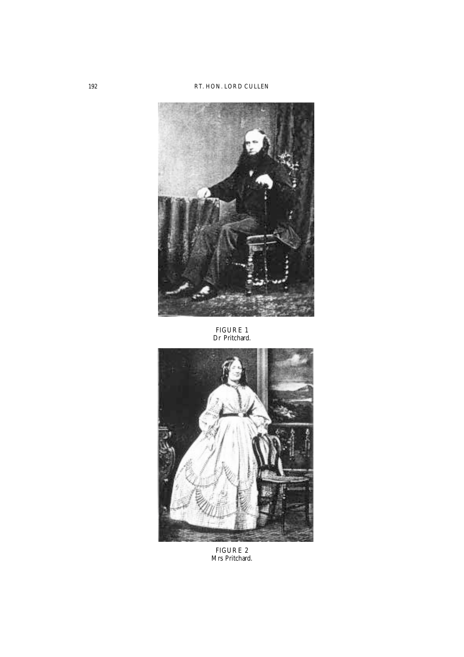

FIGURE 1 Dr Pritchard.



FIGURE 2 Mrs Pritchard.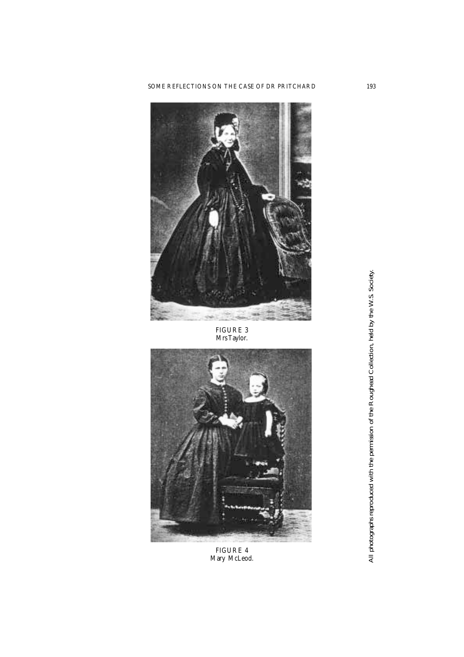

FIGURE 3 Mrs Taylor.



FIGURE 4 Mary McLeod. All photographs reproduced with the permission of the Roughead Collection, held by the W.S. Society. All photographs reproduced with the permission of the Roughead Collection, held by the W.S. Society.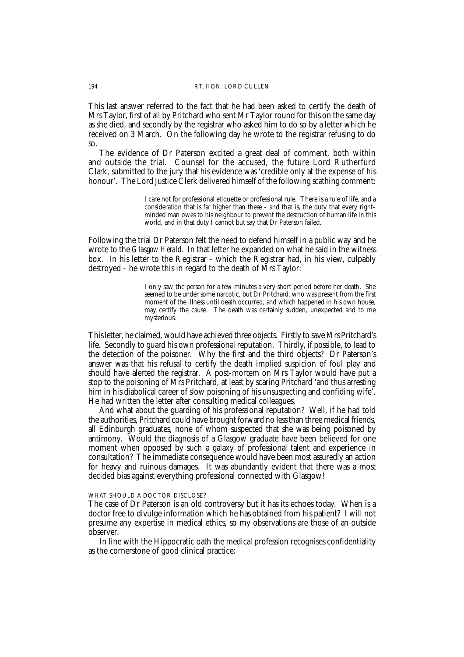#### 194 RT. HON. LORD CULLEN

This last answer referred to the fact that he had been asked to certify the death of Mrs Taylor, first of all by Pritchard who sent Mr Taylor round for this on the same day as she died, and secondly by the registrar who asked him to do so by a letter which he received on 3 March. On the following day he wrote to the registrar refusing to do so.

The evidence of Dr Paterson excited a great deal of comment, both within and outside the trial. Counsel for the accused, the future Lord Rutherfurd Clark, submitted to the jury that his evidence was 'credible only at the expense of his honour'. The Lord Justice Clerk delivered himself of the following scathing comment:

> I care not for professional etiquette or professional rule. There is a rule of life, and a consideration that is far higher than these - and that is, the duty that every rightminded man owes to his neighbour to prevent the destruction of human life in this world, and in that duty I cannot but say that Dr Paterson failed.

Following the trial Dr Paterson felt the need to defend himself in a public way and he wrote to the *Glasgow Herald*. In that letter he expanded on what he said in the witness box. In his letter to the Registrar - which the Registrar had, in his view, culpably destroyed - he wrote this in regard to the death of Mrs Taylor:

> I only saw the person for a few minutes a very short period before her death. She seemed to be under some narcotic, but Dr Pritchard, who was present from the first moment of the illness until death occurred, and which happened in his own house, may certify the cause. The death was certainly sudden, unexpected and to me mysterious.

This letter, he claimed, would have achieved three objects. Firstly to save Mrs Pritchard's life. Secondly to guard his own professional reputation. Thirdly, if possible, to lead to the detection of the poisoner. Why the first and the third objects? Dr Paterson's answer was that his refusal to certify the death implied suspicion of foul play and should have alerted the registrar. A post-mortem on Mrs Taylor would have put a stop to the poisoning of Mrs Pritchard, at least by scaring Pritchard 'and thus arresting him in his diabolical career of slow poisoning of his unsuspecting and confiding wife'. He had written the letter after consulting medical colleagues.

And what about the guarding of his professional reputation? Well, if he had told the authorities, Pritchard could have brought forward no less than three medical friends, all Edinburgh graduates, none of whom suspected that she was being poisoned by antimony. Would the diagnosis of a Glasgow graduate have been believed for one moment when opposed by such a galaxy of professional talent and experience in consultation? The immediate consequence would have been most assuredly an action for heavy and ruinous damages. It was abundantly evident that there was a most decided bias against everything professional connected with Glasgow!

## WHAT SHOULD A DOCTOR DISCLOSE?

The case of Dr Paterson is an old controversy but it has its echoes today. When is a doctor free to divulge information which he has obtained from his patient? I will not presume any expertise in medical ethics, so my observations are those of an outside observer.

In line with the Hippocratic oath the medical profession recognises confidentiality as the cornerstone of good clinical practice: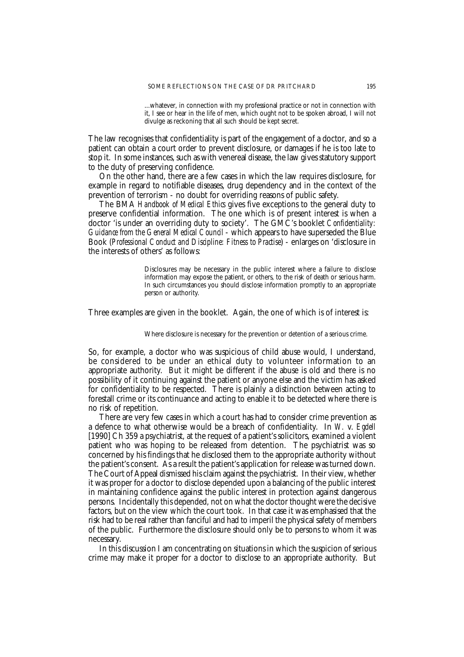...whatever, in connection with my professional practice or not in connection with it, I see or hear in the life of men, which ought not to be spoken abroad, I will not divulge as reckoning that all such should be kept secret.

The law recognises that confidentiality is part of the engagement of a doctor, and so a patient can obtain a court order to prevent disclosure, or damages if he is too late to stop it. In some instances, such as with venereal disease, the law gives statutory support to the duty of preserving confidence.

On the other hand, there are a few cases in which the law requires disclosure, for example in regard to notifiable diseases, drug dependency and in the context of the prevention of terrorism - no doubt for overriding reasons of public safety.

The BMA *Handbook of Medical Ethics* gives five exceptions to the general duty to preserve confidential information. The one which is of present interest is when a doctor 'is under an overriding duty to society'. The GMC's booklet *Confidentiality: Guidance from the General Medical Council* - which appears to have superseded the Blue Book (*Professional Conduct and Discipline: Fitness to Practise*) - enlarges on 'disclosure in the interests of others' as follows:

> Disclosures may be necessary in the public interest where a failure to disclose information may expose the patient, or others, to the risk of death or serious harm. In such circumstances you should disclose information promptly to an appropriate person or authority.

Three examples are given in the booklet. Again, the one of which is of interest is:

#### Where disclosure is necessary for the prevention or detention of a serious crime.

So, for example, a doctor who was suspicious of child abuse would, I understand, be considered to be under an ethical duty to volunteer information to an appropriate authority. But it might be different if the abuse is old and there is no possibility of it continuing against the patient or anyone else and the victim has asked for confidentiality to be respected. There is plainly a distinction between acting to forestall crime or its continuance and acting to enable it to be detected where there is no risk of repetition.

There are very few cases in which a court has had to consider crime prevention as a defence to what otherwise would be a breach of confidentiality. In *W.* v. *Egdell* [1990] Ch 359 a psychiatrist, at the request of a patient's solicitors, examined a violent patient who was hoping to be released from detention. The psychiatrist was so concerned by his findings that he disclosed them to the appropriate authority without the patient's consent. As a result the patient's application for release was turned down. The Court of Appeal dismissed his claim against the psychiatrist. In their view, whether it was proper for a doctor to disclose depended upon a balancing of the public interest in maintaining confidence against the public interest in protection against dangerous persons. Incidentally this depended, not on what the doctor thought were the decisive factors, but on the view which the court took. In that case it was emphasised that the risk had to be real rather than fanciful and had to imperil the physical safety of members of the public. Furthermore the disclosure should only be to persons to whom it was necessary.

In this discussion I am concentrating on situations in which the suspicion of serious crime may make it proper for a doctor to disclose to an appropriate authority. But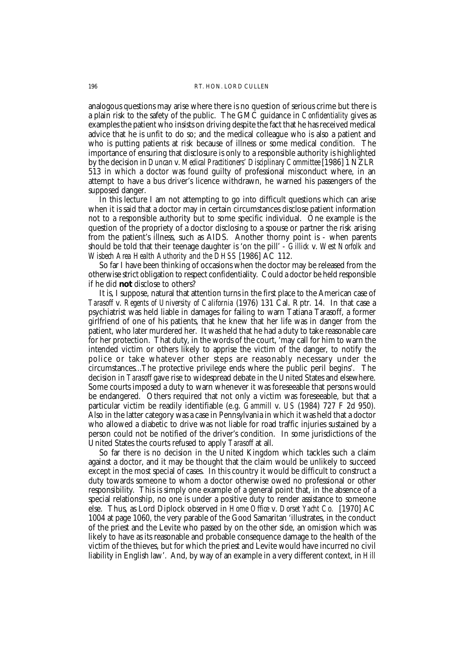analogous questions may arise where there is no question of serious crime but there is a plain risk to the safety of the public. The GMC guidance in *Confidentiality* gives as examples the patient who insists on driving despite the fact that he has received medical advice that he is unfit to do so; and the medical colleague who is also a patient and who is putting patients at risk because of illness or some medical condition. The importance of ensuring that disclosure is only to a responsible authority is highlighted by the decision in *Duncan* v. *Medical Practitioners' Disciplinary Committee* [1986] 1 NZLR 513 in which a doctor was found guilty of professional misconduct where, in an attempt to have a bus driver's licence withdrawn, he warned his passengers of the supposed danger.

In this lecture I am not attempting to go into difficult questions which can arise when it is said that a doctor may in certain circumstances disclose patient information not to a responsible authority but to some specific individual. One example is the question of the propriety of a doctor disclosing to a spouse or partner the risk arising from the patient's illness, such as AIDS. Another thorny point is - when parents should be told that their teenage daughter is 'on the pill' - *Gillick* v. *West Norfolk and Wisbech Area Health Authority and the DHSS* [1986] AC 112.

So far I have been thinking of occasions when the doctor may be released from the otherwise strict obligation to respect confidentiality. Could a doctor be held responsible if he did **not** disclose to others?

It is, I suppose, natural that attention turns in the first place to the American case of *Tarasoff* v. *Regents of University of California* (1976) 131 Cal. Rptr. 14. In that case a psychiatrist was held liable in damages for failing to warn Tatiana Tarasoff, a former girlfriend of one of his patients, that he knew that her life was in danger from the patient, who later murdered her. It was held that he had a duty to take reasonable care for her protection. That duty, in the words of the court, 'may call for him to warn the intended victim or others likely to apprise the victim of the danger, to notify the police or take whatever other steps are reasonably necessary under the circumstances...The protective privilege ends where the public peril begins'. The decision in *Tarasoff* gave rise to widespread debate in the United States and elsewhere. Some courts imposed a duty to warn whenever it was foreseeable that persons would be endangered. Others required that not only a victim was foreseeable, but that a particular victim be readily identifiable (e.g. *Gammill* v. *US* (1984) 727 F 2d 950). Also in the latter category was a case in Pennsylvania in which it was held that a doctor who allowed a diabetic to drive was not liable for road traffic injuries sustained by a person could not be notified of the driver's condition. In some jurisdictions of the United States the courts refused to apply *Tarasoff* at all.

So far there is no decision in the United Kingdom which tackles such a claim against a doctor, and it may be thought that the claim would be unlikely to succeed except in the most special of cases. In this country it would be difficult to construct a duty towards someone to whom a doctor otherwise owed no professional or other responsibility. This is simply one example of a general point that, in the absence of a special relationship, no one is under a positive duty to render assistance to someone else. Thus, as Lord Diplock observed in *Home Office* v. *Dorset Yacht Co.* [1970] AC 1004 at page 1060, the very parable of the Good Samaritan 'illustrates, in the conduct of the priest and the Levite who passed by on the other side, an omission which was likely to have as its reasonable and probable consequence damage to the health of the victim of the thieves, but for which the priest and Levite would have incurred no civil liability in English law'. And, by way of an example in a very different context, in *Hill*